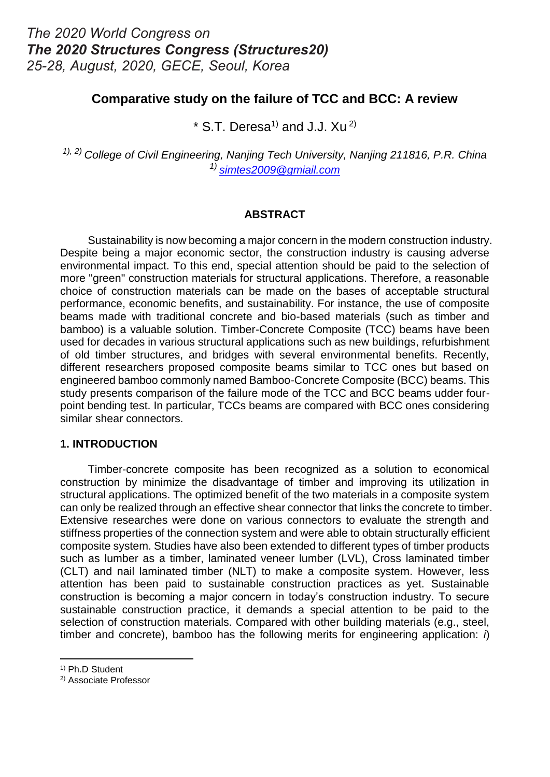### **Comparative study on the failure of TCC and BCC: A review**

 $*$  S.T. Deresa<sup>1)</sup> and J.J. Xu<sup>2)</sup>

*1), 2) College of Civil Engineering, Nanjing Tech University, Nanjing 211816, P.R. China 1) simtes2009@gmiail.com*

#### **ABSTRACT**

 Sustainability is now becoming a major concern in the modern construction industry. Despite being a major economic sector, the construction industry is causing adverse environmental impact. To this end, special attention should be paid to the selection of more "green" construction materials for structural applications. Therefore, a reasonable choice of construction materials can be made on the bases of acceptable structural performance, economic benefits, and sustainability. For instance, the use of composite beams made with traditional concrete and bio-based materials (such as timber and bamboo) is a valuable solution. Timber-Concrete Composite (TCC) beams have been used for decades in various structural applications such as new buildings, refurbishment of old timber structures, and bridges with several environmental benefits. Recently, different researchers proposed composite beams similar to TCC ones but based on engineered bamboo commonly named Bamboo-Concrete Composite (BCC) beams. This study presents comparison of the failure mode of the TCC and BCC beams udder fourpoint bending test. In particular, TCCs beams are compared with BCC ones considering similar shear connectors.

#### **1. INTRODUCTION**

 Timber-concrete composite has been recognized as a solution to economical construction by minimize the disadvantage of timber and improving its utilization in structural applications. The optimized benefit of the two materials in a composite system can only be realized through an effective shear connector that links the concrete to timber. Extensive researches were done on various connectors to evaluate the strength and stiffness properties of the connection system and were able to obtain structurally efficient composite system. Studies have also been extended to different types of timber products such as lumber as a timber, laminated veneer lumber (LVL), Cross laminated timber (CLT) and nail laminated timber (NLT) to make a composite system. However, less attention has been paid to sustainable construction practices as yet. Sustainable construction is becoming a major concern in today's construction industry. To secure sustainable construction practice, it demands a special attention to be paid to the selection of construction materials. Compared with other building materials (e.g., steel, timber and concrete), bamboo has the following merits for engineering application: *i*)

 $\overline{a}$ 

<sup>1)</sup> Ph.D Student

<sup>2)</sup> Associate Professor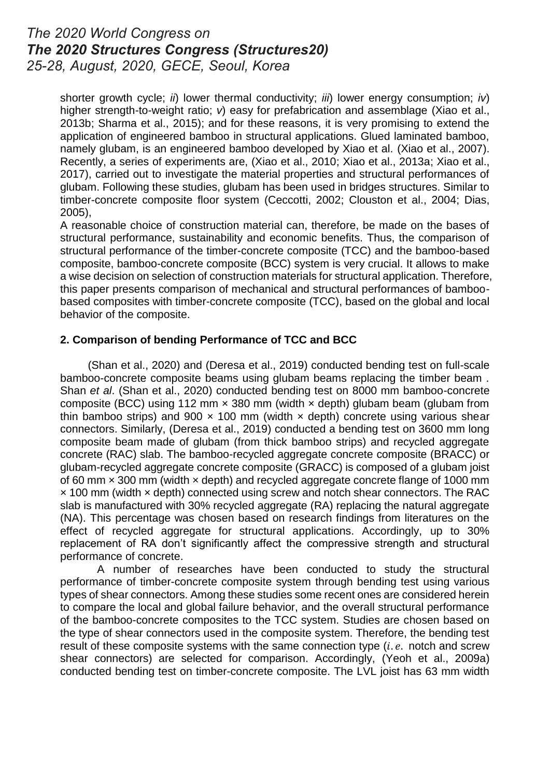shorter growth cycle; *ii*) lower thermal conductivity; *iii*) lower energy consumption; *iv*) higher strength-to-weight ratio; *v*) easy for prefabrication and assemblage [\(Xiao et al.,](#page-6-0)  [2013b;](#page-6-0) [Sharma et al., 2015\)](#page-5-0); and for these reasons, it is very promising to extend the application of engineered bamboo in structural applications. Glued laminated bamboo, namely glubam, is an engineered bamboo developed by Xiao et al. [\(Xiao et al., 2007\)](#page-5-1). Recently, a series of experiments are, [\(Xiao et al., 2010;](#page-6-1) [Xiao et al., 2013a;](#page-5-2) [Xiao et al.,](#page-6-2)  [2017\)](#page-6-2), carried out to investigate the material properties and structural performances of glubam. Following these studies, glubam has been used in bridges structures. Similar to timber-concrete composite floor system [\(Ceccotti, 2002;](#page-5-3) [Clouston et al., 2004;](#page-5-4) [Dias,](#page-5-5)  [2005\)](#page-5-5),

A reasonable choice of construction material can, therefore, be made on the bases of structural performance, sustainability and economic benefits. Thus, the comparison of structural performance of the timber-concrete composite (TCC) and the bamboo-based composite, bamboo-concrete composite (BCC) system is very crucial. It allows to make a wise decision on selection of construction materials for structural application. Therefore, this paper presents comparison of mechanical and structural performances of bamboobased composites with timber-concrete composite (TCC), based on the global and local behavior of the composite.

#### **2. Comparison of bending Performance of TCC and BCC**

 [\(Shan et al., 2020\)](#page-5-6) and [\(Deresa et al., 2019\)](#page-5-7) conducted bending test on full-scale bamboo-concrete composite beams using glubam beams replacing the timber beam . Shan *et al*. [\(Shan et al., 2020\)](#page-5-6) conducted bending test on 8000 mm bamboo-concrete composite (BCC) using 112 mm  $\times$  380 mm (width  $\times$  depth) glubam beam (glubam from thin bamboo strips) and 900  $\times$  100 mm (width  $\times$  depth) concrete using various shear connectors. Similarly, [\(Deresa et al., 2019\)](#page-5-7) conducted a bending test on 3600 mm long composite beam made of glubam (from thick bamboo strips) and recycled aggregate concrete (RAC) slab. The bamboo-recycled aggregate concrete composite (BRACC) or glubam-recycled aggregate concrete composite (GRACC) is composed of a glubam joist of 60 mm  $\times$  300 mm (width  $\times$  depth) and recycled aggregate concrete flange of 1000 mm × 100 mm (width × depth) connected using screw and notch shear connectors. The RAC slab is manufactured with 30% recycled aggregate (RA) replacing the natural aggregate (NA). This percentage was chosen based on research findings from literatures on the effect of recycled aggregate for structural applications. Accordingly, up to 30% replacement of RA don't significantly affect the compressive strength and structural performance of concrete.

A number of researches have been conducted to study the structural performance of timber-concrete composite system through bending test using various types of shear connectors. Among these studies some recent ones are considered herein to compare the local and global failure behavior, and the overall structural performance of the bamboo-concrete composites to the TCC system. Studies are chosen based on the type of shear connectors used in the composite system. Therefore, the bending test result of these composite systems with the same connection type  $(i.e.$  notch and screw shear connectors) are selected for comparison. Accordingly, [\(Yeoh et al., 2009a\)](#page-6-3) conducted bending test on timber-concrete composite. The LVL joist has 63 mm width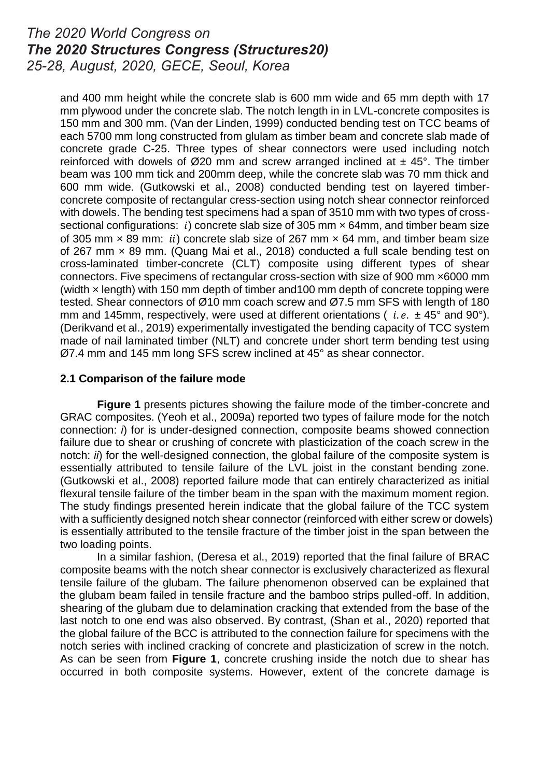and 400 mm height while the concrete slab is 600 mm wide and 65 mm depth with 17 mm plywood under the concrete slab. The notch length in in LVL-concrete composites is 150 mm and 300 mm. [\(Van der Linden, 1999\)](#page-5-8) conducted bending test on TCC beams of each 5700 mm long constructed from glulam as timber beam and concrete slab made of concrete grade C-25. Three types of shear connectors were used including notch reinforced with dowels of  $\emptyset$ 20 mm and screw arranged inclined at  $\pm$  45°. The timber beam was 100 mm tick and 200mm deep, while the concrete slab was 70 mm thick and 600 mm wide. [\(Gutkowski et al., 2008\)](#page-5-9) conducted bending test on layered timberconcrete composite of rectangular cress-section using notch shear connector reinforced with dowels. The bending test specimens had a span of 3510 mm with two types of crosssectional configurations: i) concrete slab size of 305 mm  $\times$  64mm, and timber beam size of 305 mm  $\times$  89 mm; *ii*) concrete slab size of 267 mm  $\times$  64 mm, and timber beam size of 267 mm × 89 mm. [\(Quang Mai et al., 2018\)](#page-5-10) conducted a full scale bending test on cross-laminated timber-concrete (CLT) composite using different types of shear connectors. Five specimens of rectangular cross-section with size of 900 mm ×6000 mm (width  $\times$  length) with 150 mm depth of timber and 100 mm depth of concrete topping were tested. Shear connectors of  $\varnothing$ 10 mm coach screw and  $\varnothing$ 7.5 mm SFS with length of 180 mm and 145mm, respectively, were used at different orientations (  $i.e. \pm 45^{\circ}$  and 90°). [\(Derikvand et al., 2019\)](#page-5-11) experimentally investigated the bending capacity of TCC system made of nail laminated timber (NLT) and concrete under short term bending test using Ø7.4 mm and 145 mm long SFS screw inclined at 45° as shear connector.

#### **2.1 Comparison of the failure mode**

**Figure 1** presents pictures showing the failure mode of the timber-concrete and GRAC composites. [\(Yeoh et al., 2009a\)](#page-6-3) reported two types of failure mode for the notch connection: *i*) for is under-designed connection, composite beams showed connection failure due to shear or crushing of concrete with plasticization of the coach screw in the notch: *ii*) for the well-designed connection, the global failure of the composite system is essentially attributed to tensile failure of the LVL joist in the constant bending zone. [\(Gutkowski et al., 2008\)](#page-5-9) reported failure mode that can entirely characterized as initial flexural tensile failure of the timber beam in the span with the maximum moment region. The study findings presented herein indicate that the global failure of the TCC system with a sufficiently designed notch shear connector (reinforced with either screw or dowels) is essentially attributed to the tensile fracture of the timber joist in the span between the two loading points.

In a similar fashion, [\(Deresa et al., 2019\)](#page-5-7) reported that the final failure of BRAC composite beams with the notch shear connector is exclusively characterized as flexural tensile failure of the glubam. The failure phenomenon observed can be explained that the glubam beam failed in tensile fracture and the bamboo strips pulled-off. In addition, shearing of the glubam due to delamination cracking that extended from the base of the last notch to one end was also observed. By contrast, [\(Shan et al., 2020\)](#page-5-6) reported that the global failure of the BCC is attributed to the connection failure for specimens with the notch series with inclined cracking of concrete and plasticization of screw in the notch. As can be seen from **Figure 1**, concrete crushing inside the notch due to shear has occurred in both composite systems. However, extent of the concrete damage is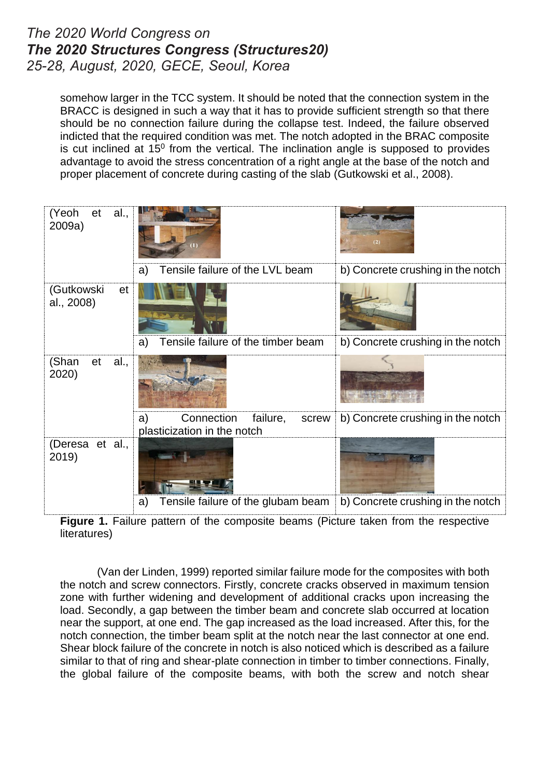somehow larger in the TCC system. It should be noted that the connection system in the BRACC is designed in such a way that it has to provide sufficient strength so that there should be no connection failure during the collapse test. Indeed, the failure observed indicted that the required condition was met. The notch adopted in the BRAC composite is cut inclined at  $15^{\circ}$  from the vertical. The inclination angle is supposed to provides advantage to avoid the stress concentration of a right angle at the base of the notch and proper placement of concrete during casting of the slab [\(Gutkowski et al., 2008\)](#page-5-9).

| (Yeoh<br>al.,<br>et<br>2009a)  |                                                                      |                                   |
|--------------------------------|----------------------------------------------------------------------|-----------------------------------|
|                                | Tensile failure of the LVL beam<br>a)                                | b) Concrete crushing in the notch |
| (Gutkowski<br>et<br>al., 2008) |                                                                      |                                   |
|                                | Tensile failure of the timber beam<br>a)                             | b) Concrete crushing in the notch |
| (Shan<br>al.,<br>et<br>2020)   |                                                                      |                                   |
|                                | Connection<br>failure,<br>a)<br>screw<br>plasticization in the notch | b) Concrete crushing in the notch |
| (Deresa et al.,<br>2019)       |                                                                      |                                   |
|                                | Tensile failure of the glubam beam<br>a)                             | b) Concrete crushing in the notch |

**Figure 1.** Failure pattern of the composite beams (Picture taken from the respective literatures)

[\(Van der Linden, 1999\)](#page-5-8) reported similar failure mode for the composites with both the notch and screw connectors. Firstly, concrete cracks observed in maximum tension zone with further widening and development of additional cracks upon increasing the load. Secondly, a gap between the timber beam and concrete slab occurred at location near the support, at one end. The gap increased as the load increased. After this, for the notch connection, the timber beam split at the notch near the last connector at one end. Shear block failure of the concrete in notch is also noticed which is described as a failure similar to that of ring and shear-plate connection in timber to timber connections. Finally, the global failure of the composite beams, with both the screw and notch shear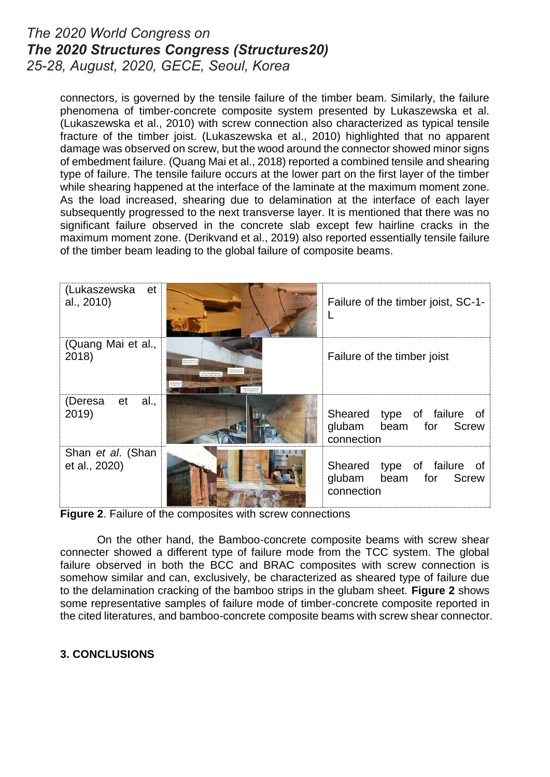connectors, is governed by the tensile failure of the timber beam. Similarly, the failure phenomena of timber-concrete composite system presented by Lukaszewska et al. [\(Lukaszewska et al., 2010\)](#page-5-12) with screw connection also characterized as typical tensile fracture of the timber joist. [\(Lukaszewska et al., 2010\)](#page-5-12) highlighted that no apparent damage was observed on screw, but the wood around the connector showed minor signs of embedment failure. [\(Quang Mai et al., 2018\)](#page-5-10) reported a combined tensile and shearing type of failure. The tensile failure occurs at the lower part on the first layer of the timber while shearing happened at the interface of the laminate at the maximum moment zone. As the load increased, shearing due to delamination at the interface of each layer subsequently progressed to the next transverse layer. It is mentioned that there was no significant failure observed in the concrete slab except few hairline cracks in the maximum moment zone. [\(Derikvand et al., 2019\)](#page-5-11) also reported essentially tensile failure of the timber beam leading to the global failure of composite beams.

| (Lukaszewska<br>et<br>al., 2010)   |                                                                               | Failure of the timber joist, SC-1-                                   |
|------------------------------------|-------------------------------------------------------------------------------|----------------------------------------------------------------------|
| (Quang Mai et al.,<br>2018)        | of do bease C<br>anto in the middle tomorre.<br>An the total financial fields | Failure of the timber joist                                          |
| (Deresa<br>et<br>al.,<br>2019)     |                                                                               | Sheared<br>type of failure of<br>glubam beam for Screw<br>connection |
| Shan et al. (Shan<br>et al., 2020) |                                                                               | type of failure of<br>Sheared<br>glubam beam for Screw<br>connection |

**Figure 2**. Failure of the composites with screw connections

On the other hand, the Bamboo-concrete composite beams with screw shear connecter showed a different type of failure mode from the TCC system. The global failure observed in both the BCC and BRAC composites with screw connection is somehow similar and can, exclusively, be characterized as sheared type of failure due to the delamination cracking of the bamboo strips in the glubam sheet. **Figure 2** shows some representative samples of failure mode of timber-concrete composite reported in the cited literatures, and bamboo-concrete composite beams with screw shear connector.

### **3. CONCLUSIONS**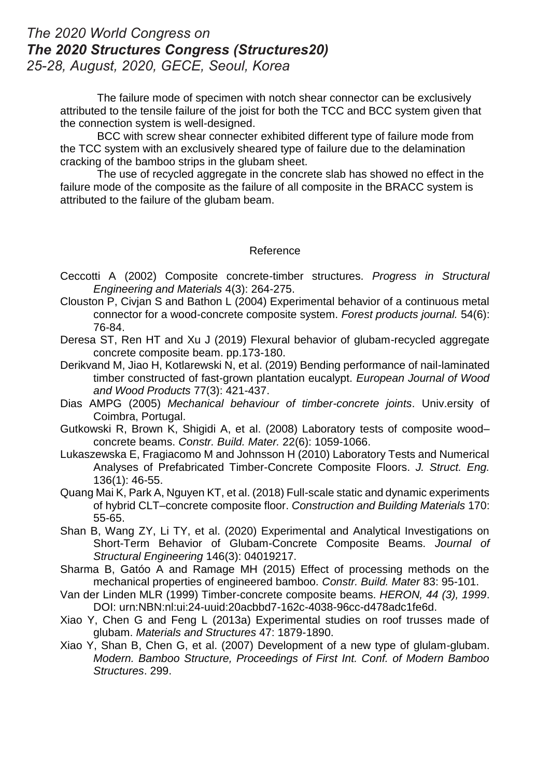The failure mode of specimen with notch shear connector can be exclusively attributed to the tensile failure of the joist for both the TCC and BCC system given that the connection system is well-designed.

BCC with screw shear connecter exhibited different type of failure mode from the TCC system with an exclusively sheared type of failure due to the delamination cracking of the bamboo strips in the glubam sheet.

The use of recycled aggregate in the concrete slab has showed no effect in the failure mode of the composite as the failure of all composite in the BRACC system is attributed to the failure of the glubam beam.

#### Reference

- <span id="page-5-3"></span>Ceccotti A (2002) Composite concrete-timber structures. *Progress in Structural Engineering and Materials* 4(3): 264-275.
- <span id="page-5-4"></span>Clouston P, Civjan S and Bathon L (2004) Experimental behavior of a continuous metal connector for a wood-concrete composite system. *Forest products journal.* 54(6): 76-84.
- <span id="page-5-7"></span>Deresa ST, Ren HT and Xu J (2019) Flexural behavior of glubam-recycled aggregate concrete composite beam. pp.173-180.
- <span id="page-5-11"></span>Derikvand M, Jiao H, Kotlarewski N, et al. (2019) Bending performance of nail-laminated timber constructed of fast-grown plantation eucalypt. *European Journal of Wood and Wood Products* 77(3): 421-437.
- <span id="page-5-5"></span>Dias AMPG (2005) *Mechanical behaviour of timber-concrete joints*. Univ.ersity of Coimbra, Portugal.
- <span id="page-5-9"></span>Gutkowski R, Brown K, Shigidi A, et al. (2008) Laboratory tests of composite wood– concrete beams. *Constr. Build. Mater.* 22(6): 1059-1066.
- <span id="page-5-12"></span>Lukaszewska E, Fragiacomo M and Johnsson H (2010) Laboratory Tests and Numerical Analyses of Prefabricated Timber-Concrete Composite Floors. *J. Struct. Eng.* 136(1): 46-55.
- <span id="page-5-10"></span>Quang Mai K, Park A, Nguyen KT, et al. (2018) Full-scale static and dynamic experiments of hybrid CLT–concrete composite floor. *Construction and Building Materials* 170: 55-65.
- <span id="page-5-6"></span>Shan B, Wang ZY, Li TY, et al. (2020) Experimental and Analytical Investigations on Short-Term Behavior of Glubam-Concrete Composite Beams. *Journal of Structural Engineering* 146(3): 04019217.
- <span id="page-5-0"></span>Sharma B, Gatóo A and Ramage MH (2015) Effect of processing methods on the mechanical properties of engineered bamboo. *Constr. Build. Mater* 83: 95-101.
- <span id="page-5-8"></span>Van der Linden MLR (1999) Timber-concrete composite beams. *HERON, 44 (3), 1999*. DOI: urn:NBN:nl:ui:24-uuid:20acbbd7-162c-4038-96cc-d478adc1fe6d.
- <span id="page-5-2"></span>Xiao Y, Chen G and Feng L (2013a) Experimental studies on roof trusses made of glubam. *Materials and Structures* 47: 1879-1890.
- <span id="page-5-1"></span>Xiao Y, Shan B, Chen G, et al. (2007) Development of a new type of glulam-glubam. *Modern. Bamboo Structure, Proceedings of First Int. Conf. of Modern Bamboo Structures*. 299.